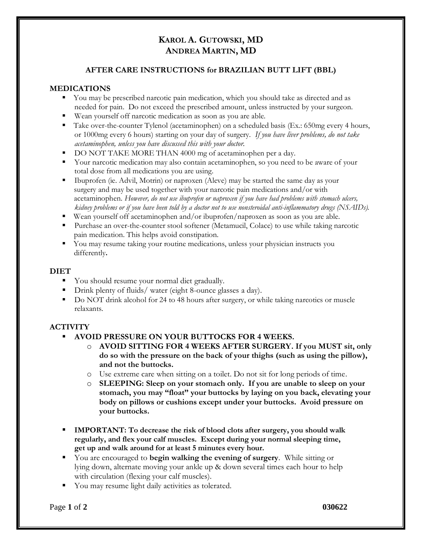# **KAROL A. GUTOWSKI, MD ANDREA MARTIN, MD**

## **AFTER CARE INSTRUCTIONS for BRAZILIAN BUTT LIFT (BBL)**

### **MEDICATIONS**

- You may be prescribed narcotic pain medication, which you should take as directed and as needed for pain. Do not exceed the prescribed amount, unless instructed by your surgeon.
- Wean yourself off narcotic medication as soon as you are able.
- Take over-the-counter Tylenol (acetaminophen) on a scheduled basis (Ex.: 650mg every 4 hours, or 1000mg every 6 hours) starting on your day of surgery. *If you have liver problems, do not take acetaminophen, unless you have discussed this with your doctor.*
- DO NOT TAKE MORE THAN 4000 mg of acetaminophen per a day.
- Your narcotic medication may also contain acetaminophen, so you need to be aware of your total dose from all medications you are using.
- Ibuprofen (ie. Advil, Motrin) or naproxen (Aleve) may be started the same day as your surgery and may be used together with your narcotic pain medications and/or with acetaminophen. *However, do not use ibuprofen or naproxen if you have had problems with stomach ulcers, kidney problems or if you have been told by a doctor not to use nonsteroidal anti-inflammatory drugs (NSAIDs).*
- Wean yourself off acetaminophen and/or ibuprofen/naproxen as soon as you are able.
- Purchase an over-the-counter stool softener (Metamucil, Colace) to use while taking narcotic pain medication. This helps avoid constipation.
- You may resume taking your routine medications, unless your physician instructs you differently**.**

#### **DIET**

- You should resume your normal diet gradually.
- Drink plenty of fluids/ water (eight 8-ounce glasses a day).
- Do NOT drink alcohol for 24 to 48 hours after surgery, or while taking narcotics or muscle relaxants.

#### **ACTIVITY**

- **AVOID PRESSURE ON YOUR BUTTOCKS FOR 4 WEEKS.** 
	- o **AVOID SITTING FOR 4 WEEKS AFTER SURGERY. If you MUST sit, only do so with the pressure on the back of your thighs (such as using the pillow), and not the buttocks.**
	- o Use extreme care when sitting on a toilet. Do not sit for long periods of time.
	- o **SLEEPING: Sleep on your stomach only. If you are unable to sleep on your stomach, you may "float" your buttocks by laying on you back, elevating your body on pillows or cushions except under your buttocks. Avoid pressure on your buttocks.**
- **IMPORTANT: To decrease the risk of blood clots after surgery, you should walk regularly, and flex your calf muscles. Except during your normal sleeping time, get up and walk around for at least 5 minutes every hour.**
- You are encouraged to **begin walking the evening of surgery**. While sitting or lying down, alternate moving your ankle up & down several times each hour to help with circulation (flexing your calf muscles).
- You may resume light daily activities as tolerated.